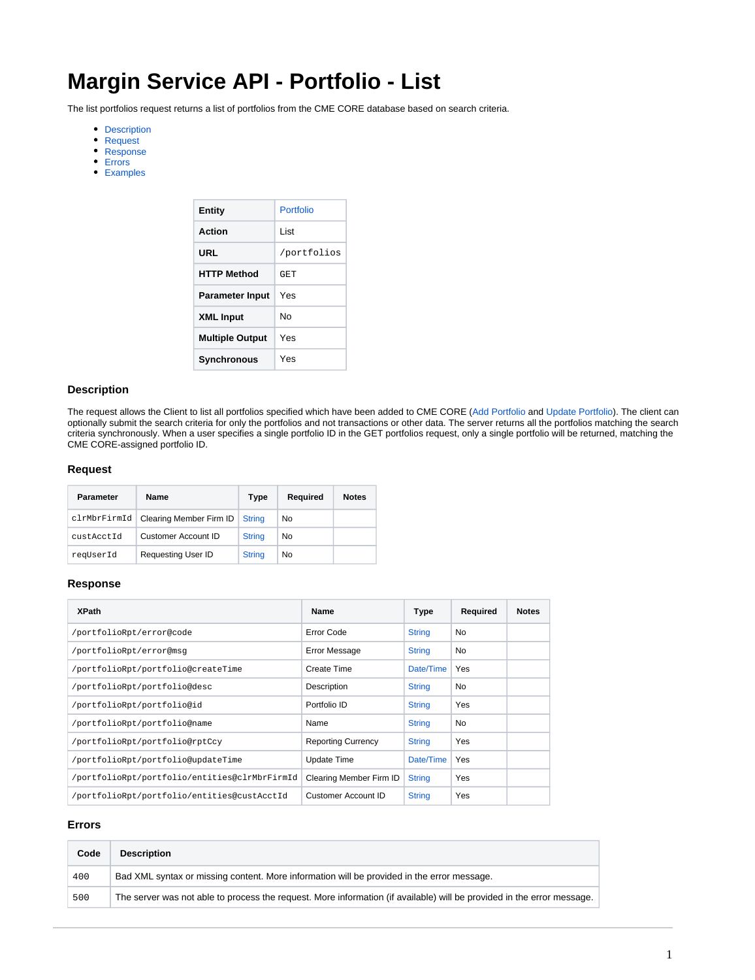# **Margin Service API - Portfolio - List**

The list portfolios request returns a list of portfolios from the CME CORE database based on search criteria.

- [Description](#page-0-0)
- [Request](#page-0-1)
- [Response](#page-0-2)
- [Errors](#page-0-3)
- [Examples](#page-0-4)

| Entity                 | Portfolio   |  |
|------------------------|-------------|--|
| Action                 | I ist       |  |
| URL                    | /portfolios |  |
| <b>HTTP Method</b>     | GET         |  |
| <b>Parameter Input</b> | Yes         |  |
| <b>XML Input</b>       | Nο          |  |
| <b>Multiple Output</b> | Yes         |  |
| Synchronous            | Yes         |  |

# <span id="page-0-0"></span>**Description**

The request allows the Client to list all portfolios specified which have been added to CME CORE [\(Add Portfolio](https://www.cmegroup.com/confluence/display/EPICSANDBOX/Margin+Service+API+-+Portfolio+-+Add) and [Update Portfolio\)](https://www.cmegroup.com/confluence/display/EPICSANDBOX/Margin+Service+API+-+Portfolio+-+Update). The client can optionally submit the search criteria for only the portfolios and not transactions or other data. The server returns all the portfolios matching the search criteria synchronously. When a user specifies a single portfolio ID in the GET portfolios request, only a single portfolio will be returned, matching the CME CORE-assigned portfolio ID.

## <span id="page-0-1"></span>**Request**

| Parameter    | Name                       | Type          | Required | <b>Notes</b> |
|--------------|----------------------------|---------------|----------|--------------|
| clrMbrFirmId | Clearing Member Firm ID    | <b>String</b> | No       |              |
| custAcctId   | <b>Customer Account ID</b> | <b>String</b> | No       |              |
| reqUserId    | <b>Requesting User ID</b>  | <b>String</b> | No       |              |

## <span id="page-0-2"></span>**Response**

| <b>XPath</b>                                  | Name                      | Type          | Required   | <b>Notes</b> |
|-----------------------------------------------|---------------------------|---------------|------------|--------------|
| /portfolioRpt/error@code                      | Error Code                | <b>String</b> | No         |              |
| /portfolioRpt/error@msq                       | <b>Error Message</b>      | <b>String</b> | No         |              |
| /portfolioRpt/portfolio@createTime            | Create Time               | Date/Time     | Yes        |              |
| /portfolioRpt/portfolio@desc                  | Description               | <b>String</b> | No         |              |
| /portfolioRpt/portfolio@id                    | Portfolio ID              | <b>String</b> | Yes        |              |
| /portfolioRpt/portfolio@name                  | Name                      | <b>String</b> | No         |              |
| /portfolioRpt/portfolio@rptCcy                | <b>Reporting Currency</b> | <b>String</b> | Yes        |              |
| /portfolioRpt/portfolio@updateTime            | Update Time               | Date/Time     | <b>Yes</b> |              |
| /portfolioRpt/portfolio/entities@clrMbrFirmId | Clearing Member Firm ID   | <b>String</b> | Yes        |              |
| /portfolioRpt/portfolio/entities@custAcctId   | Customer Account ID       | <b>String</b> | Yes        |              |

# <span id="page-0-3"></span>**Errors**

<span id="page-0-4"></span>

| Code | <b>Description</b>                                                                                                     |
|------|------------------------------------------------------------------------------------------------------------------------|
| 400  | Bad XML syntax or missing content. More information will be provided in the error message.                             |
| 500  | The server was not able to process the request. More information (if available) will be provided in the error message. |